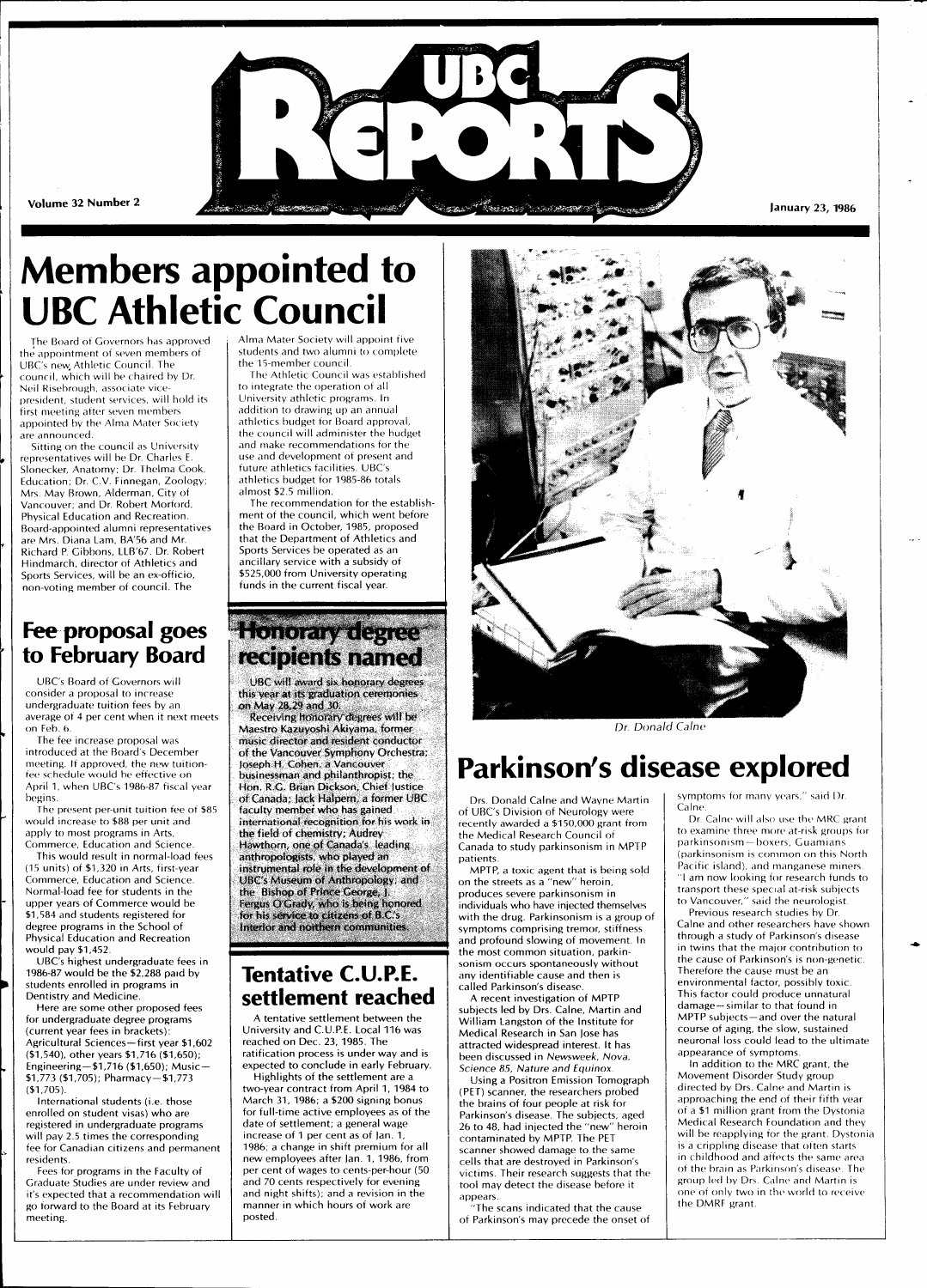

# **Members appointed to UBC Athletic Council**

The Board of Governors has approved the appointment of seven members of UBC's new Athletic Council. The council, which will be chaired by Dr. Neil Risebrough, associate vicepresident, student services, will hold its first meeting after seven members appointed by the Alma Mater Society are announced.

Sitting on the council as University representatives will be Dr. Charles E. Slonecker, Anatomy; Dr. Thelma Cook, Education; Dr. C.V. Finnegan, Zoology; Mrs. May Brown, Alderman, City of Vancouver; and Dr. Robert Morford, Physical Education and Recreation. Board-appointed alumni representatives are Mrs. Diana Lam, BA'56 and Mr. Richard P. Gibbons, LLB'67. Dr. Robert Hindmarch, director of Athletics and Sports Services, will be an ex-officio, non-voting member of council. The

#### **Fee proposal goes to February Board**

UBC's Board of Governors will consider a proposal to increase undergraduate tuition fees by an average of 4 per cent when it next meets on Feb. 6.

The fee increase proposal was introduced at the Board's December meeting. If approved, the new tuitionfee schedule would be effective on April 1, when UBC's 1986-87 fiscal year begins.

The present per-unit tuition fee of \$85 would increase to \$88 per unit and apply to most programs in Arts, Commerce, Education and Science.

This would result in normal-load fees (15 units) of \$1,320 in Arts, first-year Commerce, Education and Science. Normal-load fee for students in the upper years of Commerce would be \$1,584 and students registered for degree programs in the School of Physical Education and Recreation would pay \$1,452.

UBC's highest undergraduate fees in 1986-87 would be the \$2,288 paid by students enrolled in programs in Dentistry and Medicine.

Here are some other proposed fees for undergraduate degree programs (current year fees in brackets): Agricultural Sciences—first year \$1,602 (\$1,540), other years \$1,716 (\$1,650); Engineering—\$1,716 (\$1,650); Music — \$1,773 (\$1,705); Pharmacy-\$1,773  $($1,705)$ 

International students (i.e. those enrolled on student visas) who are registered in undergraduate programs will pay 2.5 times the corresponding fee for Canadian citizens and permanent residents.

Fees for programs in the Faculty of Graduate Studies are under review and it's expected that a recommendation will go forward to the Board at its February meeting.

Alma Mater Society will appoint five students and two alumni to complete the 15-member council.

The Athletic Council was established to integrate the operation of all University athletic programs. In addition to drawing up an annual athletics budget for Board approval,

the council will administer the budget and make recommendations for the use and development of present and future athletics facilities. UBC's athletics budget for 1985-86 totals almost \$2.5 million.

The recommendation for the establishment of the council, which went before the Board in October, 1985, proposed that the Department of Athletics and Sports Services be operated as an ancillary service with a subsidy of \$525,000 from University operating funds in the current fiscal year.

### **Honorary degree recipients named**

**UBC will award six honorary degrees this year at its graduation ceremonies on May 28,29 and 30;** 

**Receiving honorary degrees will be Maestro Kazuyoshi Akiyama, former music director and resident conductor of the Vancouver Symphony Orchestra; Joseph H. Cohen, a Vancouver businessman and philanthropist; the Hon. R.G. Brian Dickson, Chief lustice of Canada; lack Hatpern, a former UBC faculty member who has gained international recognition for his** work **in the field of chemistry; Audrey Hawthorn, one of Canada's leading anthropologists, who played an instrumental role in the development of UBC's Museum of Anthropology: and the Bishop ot Prince George, J. Fergus O'Grady, who is being honored for his service to citizens of B.C.'s Interior and northern communities.** 

#### **Tentative C.U.P.E. settlement reached**

A tentative settlement between the University and C.U.P.E. Local 116 was reached on Dec. 23, 1985. The ratification process is under way and is expected to conclude in early February. Highlights of the settlement are a

two-year contract from April 1, 1984 to March 31, 1986; a \$200 signing bonus for full-time active employees as of the date of settlement; a general wage increase of 1 per cent as of Jan. 1, 1986; a change in shift premium for all new employees after Jan. 1, 1986, from per cent of wages to cents-per-hour (50 and 70 cents respectively for evening and night shifts); and a revision in the manner in which hours of work are posted.



Dr. Donald Calne

## **Parkinson's disease explored**

Drs. Donald Calne and Wayne Martin of UBC's Division of Neurology were recently awarded a \$150,000 grant from the Medical Research Council of Canada to study parkinsonism in MPTP patients.

MPTP, a toxic agent that is being sold on the streets as a "new" heroin, produces severe parkinsonism in individuals who have injected themselves with the drug. Parkinsonism is a group of symptoms comprising tremor, stiffness and profound slowing of movement. In the most common situation, parkinsonism occurs spontaneously without any identifiable cause and then is called Parkinson's disease. A recent investigation of MPTP

subjects led by Drs. Calne, Martin and William Langston of the Institute for Medical Research in San Jose has attracted widespread interest. It has been discussed in Newsweek, Nova, Science 85, Nature and Equinox.

Using a Positron Emission Tomograph (PET) scanner, the researchers probed the brains of four people at risk for Parkinson's disease. The subjects, aged 26 to 48, had injected the "new" heroin contaminated by MPTP. The PET scanner showed damage to the same cells that are destroyed in Parkinson's victims. Their research suggests that the tool may detect the disease before it appears.

"The scans indicated that the cause of Parkinson's may precede the onset of

symptoms for many years," said Dr. Calne.

Dr. Calne will also use the MRC grant to examine three more at-risk groups for parkinsonism — boxers, Guamians (parkinsonism is common on this North Pacific island), and manganese miners "I am now looking for research funds to transport these special at-risk subjects to Vancouver," said the neurologist

Previous research studies by Dr. Calne and other researchers have shown through a study of Parkinson's disease in twins that the major contribution to the cause of Parkinson's is non-genetic. Therefore the cause must be an environmental factor, possibly toxic. This factor could produce unnatural damage—similar to that found in MPTP subjects —and over the natural course of aging, the slow, sustained neuronal loss could lead to the ultimate appearance of sympto

In addition to the MRC grant, the Movement Disorder Study group directed by Drs. Calne and Martin is approaching the end of their fifth year of a \$1 million grant from the Dystonia Medical Research Foundation and they will be reapplying for the grant. Dystonia is a crippling disease that often starts in childhood and affects the same area of the brain as Parkinson's disease. The group led by Drs. Calne and Martin is one of only two in the world to receive the DMRF grant.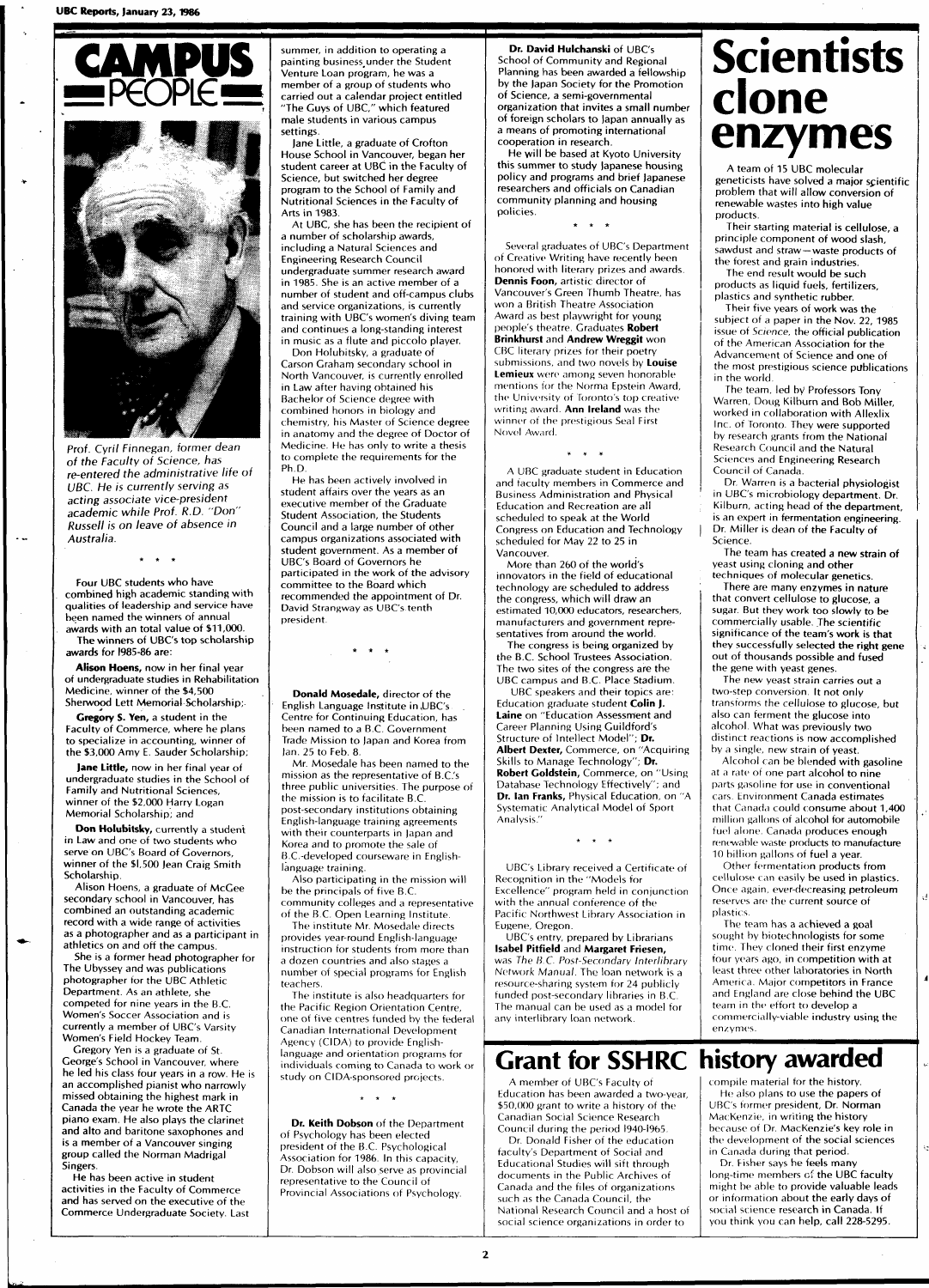

Prof. Cyril Finnegan, former dean of the Faculty of Science, has re-entered the administrative life of UBC. He is currently serving as acting associate vice-president academic while Prof. R.D. "Don" Russell is on leave of absence in Australia.

 $\ddot{\phantom{a}}$ 

Four UBC students who have combined high academic standing with qualities of leadership and service have been named the winners of annual awards with an total value of \$11,000.

The winners of UBC's top scholarship awards for 1985-86 are:

**Alison Hoens,** now in her final year of undergraduate studies in Rehabilitation Medicine, winner of the \$4,500 Sherwood Lett Memorial Scholarship;

**Gregory S. Yen,** a student in the Faculty of Commerce, where he plans to specialize in accounting, winner of the \$3,000 Amy E. Sauder Scholarship;

**Jane Little,** now in her final year of undergraduate studies in the School of Family and Nutritional Sciences, winner of the \$2,000 Harry Logan Memorial Scholarship; and

**Don Holubitsky, currently a student** in Law and one of two students who serve on UBC's Board of Governors, winner of the \$1,500 Jean Craig Smith Scholarship.

Alison Hoens, a graduate of McGee secondary school in Vancouver, has combined an outstanding academic record with a wide range of activities as a photographer and as a participant in athletics on and off the campus.

She is a former head photographer for The Ubyssey and was publications photographer for the UBC Athletic Department. As an athlete, she competed for nine years in the B.C. Women's Soccer Association and is currently a member of UBC's Varsity Women's Field Hockey Team.

Gregory Yen is a graduate of St. George's School in Vancouver, where he led his class four years in a row. He is an accomplished pianist who narrowly missed obtaining the highest mark in Canada the year he wrote the ARTC piano exam. He also plays the clarinet and alto and baritone saxophones and is a member of a Vancouver singing group called the Norman Madrigal Singers.

He has been active in student activities in the Faculty of Commerce and has served on the executive of the Commerce Undergraduate Society. Last summer, in addition to operating a painting business.under the Student Venture Loan program, he was a member of a group of students who carried out a calendar project entitled "The Guys of UBC," which featured male students in various campus settings.

Jane Little, a graduate of Crofton House School in Vancouver, began her student career at UBC in the Faculty of Science, but switched her degree program to the School of Family and Nutritional Sciences in the Faculty of Arts in 1983.

At UBC, she has been the recipient of a number of scholarship awards, including a Natural Sciences and Engineering Research Council undergraduate summer research award in 1985. She is an active member of a number of student and off-campus clubs and service organizations, is currently training with UBC's women's diving team and continues a long-standing interest in music as a flute and piccolo player.

Don Holubitsky, a graduate of Carson Graham secondary school in North Vancouver, is currently enrolled in Law after having obtained his Bachelor of Science degree with combined honors in biology and chemistry, his Master of Science degree in anatomy and the degree of Doctor of Medicine. He has only to write a thesis to complete the requirements for the Ph.D.

He has been actively involved in student affairs over the years as an executive member of the Graduate Student Association, the Students Council and a large number of other campus organizations associated with student government. As a member of UBC's Board of Governors he participated in the work of the advisory committee to the Board which recommended the appointment of Dr. David Strangway as UBC's tenth president.

**Donald Mosedale,** director of the English Language Institute in .UBC's Centre for Continuing Education, has been named to a B.C. Government Trade Mission to Japan and Korea from Ian. 25 to Feb. 8.

Mr. Mosedale has been named to the mission as the representative of B.C.'s three public universities. The purpose of the mission is to facilitate B.C. post-secondary institutions obtaining English-language training agreements with their counterparts in Japan and Korea and to promote the sale of B.C.-developed courseware in Englishlanguage training.

Also participating in the mission will be the principals of five B.C. community colleges and a representative

of the B.C. Open Learning Institute. The institute Mr. Mosedale directs

provides year-round English-language instruction for students from more than a dozen countries and also stages a number of special programs for English teachers.

The institute is also headquarters for the Pacific Region Orientation Centre, one of five centres funded by the federal Canadian International Development Agency (CIDA) to provide Englishlanguage and orientation programs for individuals coming to Canada to work or study on CIDA-sponsored projects.

 $\star$   $\star$   $\star$ 

**Dr. Keith Dobson** of the Department of Psychology has been elected president of the B.C. Psychological Association for 1986. In this capacity, Dr. Dobson will also serve as provincial representative to the Council of Provincial Associations of Psychology.

**Dr. David Hulchanski** of UBC's School of Community and Regional Planning has been awarded a fellowship by the Japan Society for the Promotion of Science, a semi-governmental organization that invites a small number of foreign scholars to Japan annually as a means of promoting international cooperation in research.

He will be based at Kyoto University this summer to study Japanese housing policy and programs and brief Japanese researchers and officials on Canadian community planning and housing policies.

 $\star$   $\star$ 

Several graduates of UBC's Department of Creative Writing have recently been honored with literary prizes and awards. **Dennis Foon,** artistic director of Vancouver's Green Thumb Theatre, has won a British Theatre Association Award as best playwright for young people's theatre. Graduates **Robert Brinkhurst** and **Andrew Wreggit** won CBC literary prizes for their poetry submissions, and two novels by **Louise Lemieux** were among seven honorable mentions for the Norma Epstein Award, the University of Toronto's top creative writing award. **Ann Ireland** was the winner of the prestigious Seal First Novel Award.

A UBC graduate student in Education and faculty members in Commerce and Business Administration and Physical Education and Recreation are all scheduled to speak at the World Congress on Education and Technology scheduled for May 22 to 25 in Vancouver.

 $\overline{1}$   $\overline{1}$ 

More than 260 of the world's innovators in the field of educational technology are scheduled to address the congress, which will draw an estimated 10,000 educators, researchers, manufacturers and government representatives from around the world.

The congress is being organized by the B.C. School Trustees Association. The two sites of the congress are the UBC campus and B.C. Place Stadium.

UBC speakers and their topics are: Education graduate student **Colin J. Laine** on "Education Assessment and Career Planning Using Guildford's Structure of Intellect Model"; **Dr. Albert Dexter,** Commerce, on "Acquiring Skills to Manage Technology"; **Dr. Robert Goldstein,** Commerce, on "Using Database Technology Effectively"; and **Dr. Ian Franks,** Physical Education, on "A Systematic Analytical Model of Sport Analysis."

UBC's Library received a Certificate of Recognition in the "Models for Excellence" program held in conjunction with the annual conference of the Pacific Northwest Library Association in Eugene, Oregon.

UBC's entry, prepared by Librarians **Isabel Pitfield** and **Margaret Friesen,**  was The B.C. Post-Secondary Interlibrary Network Manual. The loan network is a resource-sharing system for 24 publicly funded post-secondary libraries in B.C. The manual can be used as a model for any interlihrary loan network.

#### **Grant for SSHRC history awarded**

A member of UBC's Faculty of Education has been awarded a two-year, \$50,000 grant to write a history of the Canadian Social Science Research Council during the period I940-I965. Dr. Donald Fisher of the education

faculty's Department of Social and Educational Studies will sift through documents in the Public Archives of Canada and the files of organizations such as the Canada Council, the National Research Council and a host of social science organizations in order to

# **Scientists clone enzymes**

A team of 15 UBC molecular geneticists have solved a major scientific problem that will allow conversion of renewable wastes into high value products.

Their starting material is cellulose, a principle component of wood slash, sawdust and straw—waste products of the forest and grain industries.

The end result would be such products as liquid fuels, fertilizers, plastics and synthetic rubber.

Their five years of work was the subject of a paper in the Nov. 22, 1985 issue of Science, the official publication of the American Association for the Advancement of Science and one of the most prestigious science publications in the world.

The team, led by Professors Tony Warren, Doug Kilburn and Bob Miller, worked in collaboration with Allexlix Inc. of Toronto. They were supported by research grants from the National Research Council and the Natural Sciences and Engineering Research Council of Canada.

Dr. Warren is a bacterial physiologist in UBC's microbiology department. Dr. Kilburn, acting head of the department, is an expert in fermentation engineering. Dr. Miller is dean of the Faculty of Science.

The team has created a new strain of yeast using cloning and other

techniques of molecular genetics. There are many enzymes in nature that convert cellulose to glucose, a sugar. But they work too slowly to be commercially usable. The scientific significance of the team's work is that they successfully selected the right gene out of thousands possible and fused the gene with yeast genes.

The new yeast strain carries out a two-step conversion. It not only transforms the cellulose to glucose, but also can ferment the glucose into alcohol. What was previously two distinct reactions is now accomplished by a single, new strain of yeast.

Alcohol can be blended with gasoline at a rate of one part alcohol to nine parts gasoline for use in conventional cars. Environment Canada estimates that Canada could consume about 1,400 million gallons of alcohol for automobile fuel alone. Canada produces enough renewable waste products to manufacture 10 billion gallons of fuel a year.

Other fermentation products from cellulose can easily be used in plastics. Once again, ever-decreasing petroleum reserves are the current source of plastics.

The team has a achieved a goal sought by biotechnologists for some time. They cloned their first enzyme four years ago, in competition with at least three other laboratories in North America. Major competitors in France and England are close behind the UBC team in the effort to develop a commercially-viable industry using the enzymes.

compile material for the history. He also plans to use the papers of UBC's former president, Dr. Norman MacKenzie, in writing the history because of Dr. MacKenzie's key role in the development of the social sciences in Canada during that period.

Dr. Fisher says he feels many long-time members of the UBC faculty might be able to provide valuable leads or information about the early days of social science research in Canada. If you think you can help, call 228-5295.